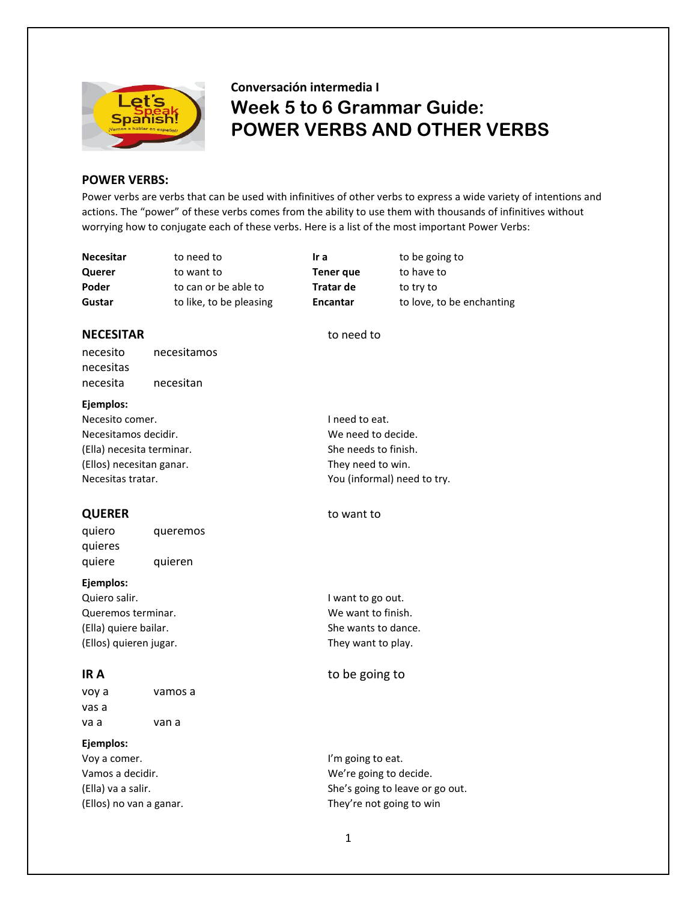

# **Conversación intermedia I Week 5 to 6 Grammar Guide: POWER VERBS AND OTHER VERBS**

## **POWER VERBS:**

Power verbs are verbs that can be used with infinitives of other verbs to express a wide variety of intentions and actions. The "power" of these verbs comes from the ability to use them with thousands of infinitives without worrying how to conjugate each of these verbs. Here is a list of the most important Power Verbs:

**Querer** to want to **Tener que** to have to **Poder** to can or be able to **Tratar de** to try to

**Necesitar** to need to **Ir a** to be going to **Gustar** to like, to be pleasing **Encantar** to love, to be enchanting

## **NECESITAR** to need to

necesito necesitamos necesitas necesita necesitan

### **Ejemplos:**

Necesito comer.  $\blacksquare$  I need to eat. Necesitamos decidir. Necesitamos decidir. (Ella) necesita terminar. She needs to finish. (Ellos) necesitan ganar. They need to win. Necesitas tratar. The contract of the Necesitas tratar.

quiero queremos quieres quiere quieren

## **Ejemplos:**

Quiero salir. **I want to go out.** I want to go out. Queremos terminar. We want to finish. (Ella) quiere bailar. She wants to dance. (Ellos) quieren jugar. They want to play.

| voy a | vamos a |
|-------|---------|
| vas a |         |
| va a  | van a   |

## **Ejemplos:**

Voy a comer. The community of the late of the late of the late of the late of the late of the late of the late of the late of the late of the late of the late of the late of the late of the late of the late of the late of

## **QUERER** to want to

## **IR A** to be going to

Vamos a decidir. The contract of the We're going to decide. (Ella) va a salir.  $S$  she's going to leave or go out. (Ellos) no van a ganar. They're not going to win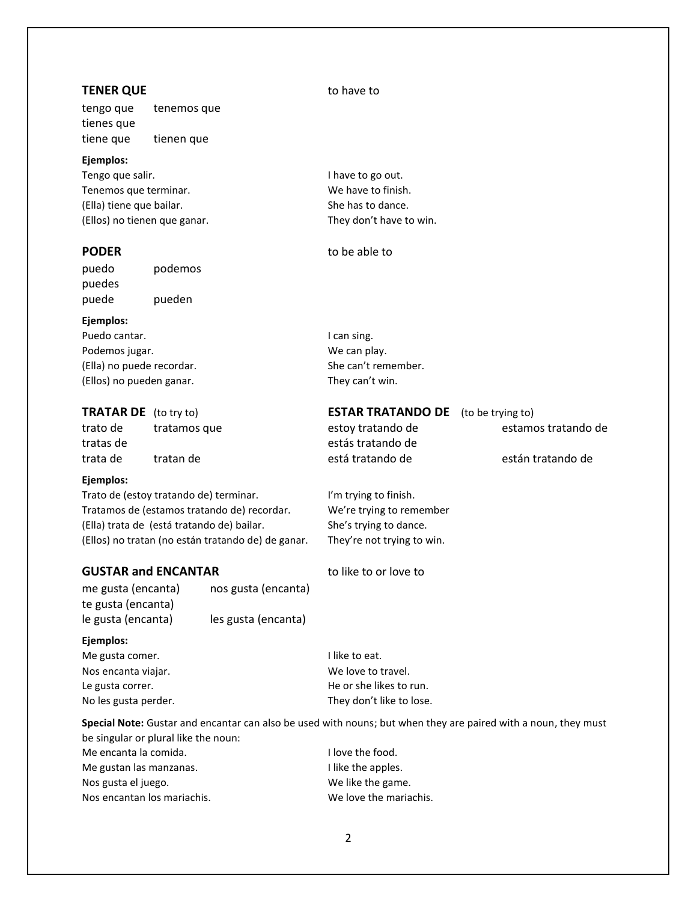# **TENER QUE** to have to tengo que tenemos que tienes que tiene que tienen que **Ejemplos:** Tengo que salir. **I have to go out.** I have to go out. Tenemos que terminar. Tenemos que terminar. (Ella) tiene que bailar. She has to dance. (Ellos) no tienen que ganar. They don't have to win. **PODER** to be able to puedo podemos puedes puede pueden **Ejemplos:** Puedo cantar. **I can sing.** I can sing. Podemos jugar. The cannot be a set of the cannot we can play. (Ella) no puede recordar. She can't remember. (Ellos) no pueden ganar. They can't win. **TRATAR DE** (to try to) **ESTAR TRATANDO DE** (to be trying to) trato de tratamos que estoy tratando de estamos tratando de tratas de estás tratando de trata de tratan de está tratando de están tratando de **Ejemplos:** Trato de (estoy tratando de) terminar. I'm trying to finish. Tratamos de (estamos tratando de) recordar. We're trying to remember (Ella) trata de (está tratando de) bailar. She's trying to dance. (Ellos) no tratan (no están tratando de) de ganar. They're not trying to win. **GUSTAR and ENCANTAR** to like to or love to me gusta (encanta) nos gusta (encanta)

te gusta (encanta) le gusta (encanta) les gusta (encanta)

### **Ejemplos:**

Me gusta comer. The same state of the state of the state of the state of the state of the state of the state of the state of the state of the state of the state of the state of the state of the state of the state of the st No les gusta perder. They don't like to lose.

Nos encanta viajar. Nos encanta viajar. Le gusta correr. The original correct the state of the state of the state of the state of the state of the state of the state of the state of the state of the state of the state of the state of the state of the state of th

**Special Note:** Gustar and encantar can also be used with nouns; but when they are paired with a noun, they must be singular or plural like the noun:

| Me encanta la comida.       | I love the food.       |
|-----------------------------|------------------------|
| Me gustan las manzanas.     | I like the apples.     |
| Nos gusta el juego.         | We like the game.      |
| Nos encantan los mariachis. | We love the mariachis. |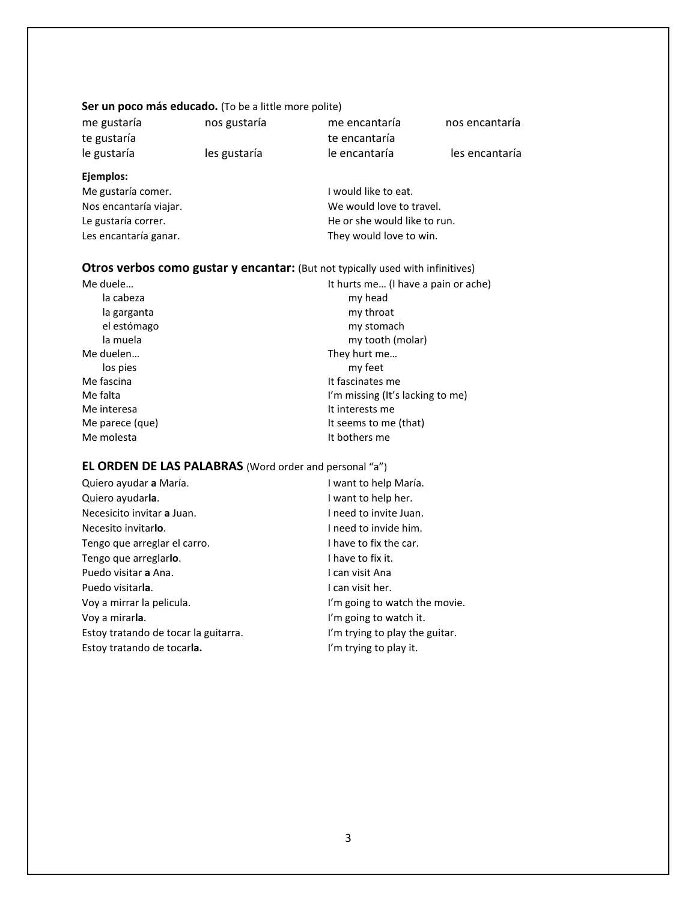## Ser un poco más educado. (To be a little more polite)

| me gustaría            | nos gustaría | me encantaría                | nos encantaría |
|------------------------|--------------|------------------------------|----------------|
| te gustaría            |              | te encantaría                |                |
| le gustaría            | les gustaría | le encantaría                | les encantaría |
| Ejemplos:              |              |                              |                |
| Me gustaría comer.     |              | I would like to eat.         |                |
| Nos encantaría viajar. |              | We would love to travel.     |                |
| Le gustaría correr.    |              | He or she would like to run. |                |

## **Otros verbos como gustar y encantar:** (But not typically used with infinitives)

Les encantaría ganar. They would love to win.

| Me duele        | It hurts me (I have a pain or ache) |
|-----------------|-------------------------------------|
| la cabeza       | my head                             |
| la garganta     | my throat                           |
| el estómago     | my stomach                          |
| la muela        | my tooth (molar)                    |
| Me duelen       | They hurt me                        |
| los pies        | my feet                             |
| Me fascina      | It fascinates me                    |
| Me falta        | I'm missing (It's lacking to me)    |
| Me interesa     | It interests me                     |
| Me parece (que) | It seems to me (that)               |
| Me molesta      | It bothers me                       |

## **EL ORDEN DE LAS PALABRAS** (Word order and personal "a")

| Quiero ayudar a María.               | I want to help María.          |
|--------------------------------------|--------------------------------|
| Quiero ayudarla.                     | I want to help her.            |
| Necesicito invitar a Juan.           | I need to invite Juan.         |
| Necesito invitarlo.                  | I need to invide him.          |
| Tengo que arreglar el carro.         | I have to fix the car.         |
| Tengo que arreglarlo.                | I have to fix it.              |
| Puedo visitar a Ana.                 | I can visit Ana                |
| Puedo visitarla.                     | I can visit her.               |
| Voy a mirrar la pelicula.            | I'm going to watch the movie.  |
| Voy a mirar <b>la</b> .              | I'm going to watch it.         |
| Estoy tratando de tocar la guitarra. | I'm trying to play the guitar. |
| Estoy tratando de tocarla.           | I'm trying to play it.         |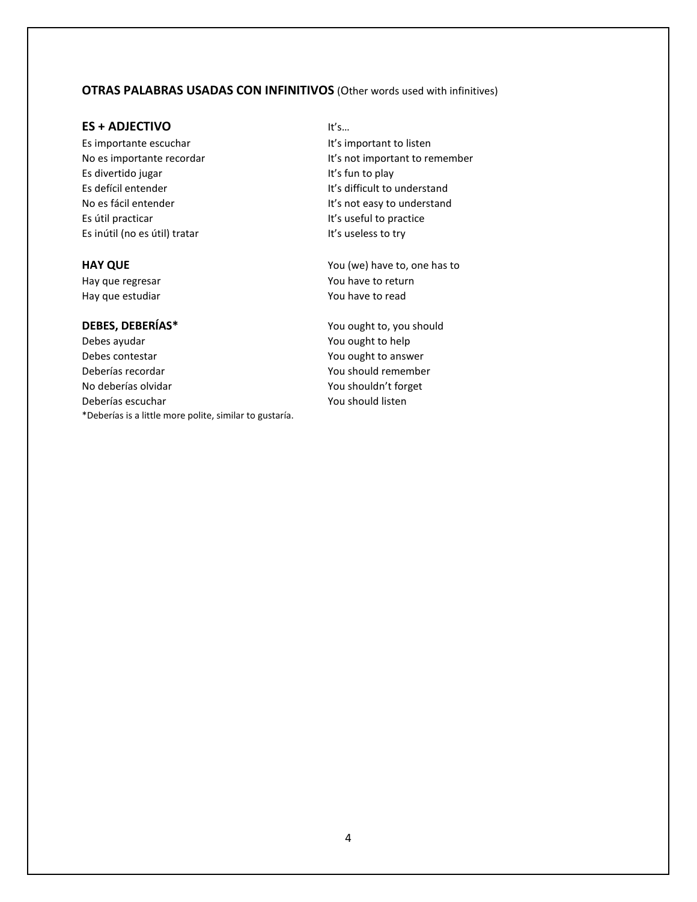## **OTRAS PALABRAS USADAS CON INFINITIVOS** (Other words used with infinitives)

## **ES + ADJECTIVO** It's…

Es divertido jugar **It's fun to play** Es defícil entender **It's difficult to understand** Es útil practicar **It's useful to practice** Es inútil (no es útil) tratar It's useless to try

Hay que estudiar The Manus of the You have to read

## **DEBES, DEBERÍAS\*** You ought to, you should

Debes ayudar Now and The You ought to help Debes contestar Theorem 2012 Contestant Manuscript Contest and You ought to answer Deberías recordar You should remember No deberías olvidar **You shouldn't forget** Deberías escuchar **You should listen** \*Deberías is a little more polite, similar to gustaría.

Es importante escuchar **It's important to listen** No es importante recordar **It's not important to remember** No es fácil entender **It's not easy to understand** 

**HAY QUE** You (we) have to, one has to Hay que regresar Mateus Communication and May due to return